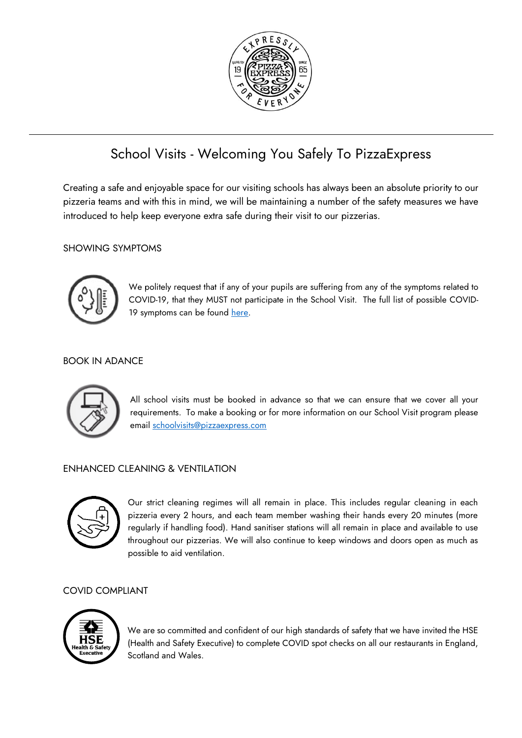

# School Visits - Welcoming You Safely To PizzaExpress

Creating a safe and enjoyable space for our visiting schools has always been an absolute priority to our pizzeria teams and with this in mind, we will be maintaining a number of the safety measures we have introduced to help keep everyone extra safe during their visit to our pizzerias.

### SHOWING SYMPTOMS



We politely request that if any of your pupils are suffering from any of the symptoms related to COVID-19, that they MUST not participate in the School Visit. The full list of possible COVID-19 symptoms can be found [here.](https://www.nhs.uk/conditions/coronavirus-covid-19/symptoms/)

#### BOOK IN ADANCE



All school visits must be booked in advance so that we can ensure that we cover all your requirements. To make a booking or for more information on our School Visit program please email [schoolvisits@pizzaexpress.com](mailto:schoolvisits@pizzaexpress.com)

### ENHANCED CLEANING & VENTILATION



Our strict cleaning regimes will all remain in place. This includes regular cleaning in each pizzeria every 2 hours, and each team member washing their hands every 20 minutes (more regularly if handling food). Hand sanitiser stations will all remain in place and available to use throughout our pizzerias. We will also continue to keep windows and doors open as much as possible to aid ventilation.

#### COVID COMPLIANT



We are so committed and confident of our high standards of safety that we have invited the HSE (Health and Safety Executive) to complete COVID spot checks on all our restaurants in England, Scotland and Wales.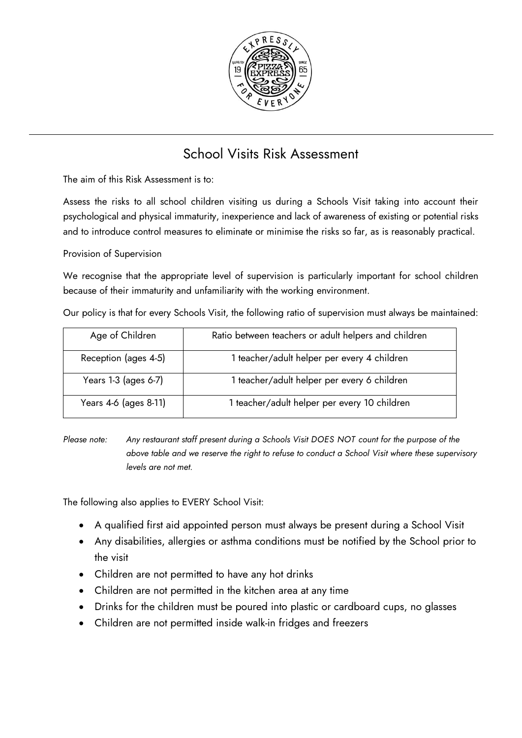

# School Visits Risk Assessment

The aim of this Risk Assessment is to:

Assess the risks to all school children visiting us during a Schools Visit taking into account their psychological and physical immaturity, inexperience and lack of awareness of existing or potential risks and to introduce control measures to eliminate or minimise the risks so far, as is reasonably practical.

Provision of Supervision

We recognise that the appropriate level of supervision is particularly important for school children because of their immaturity and unfamiliarity with the working environment.

Our policy is that for every Schools Visit, the following ratio of supervision must always be maintained:

| Age of Children       | Ratio between teachers or adult helpers and children |  |
|-----------------------|------------------------------------------------------|--|
| Reception (ages 4-5)  | 1 teacher/adult helper per every 4 children          |  |
| Years 1-3 (ages 6-7)  | 1 teacher/adult helper per every 6 children          |  |
| Years 4-6 (ages 8-11) | 1 teacher/adult helper per every 10 children         |  |

*Please note:* Any restaurant staff present during a Schools Visit DOES NOT count for the purpose of the *above table and we reserve the right to refuse to conduct a School Visit where these supervisory levels are not met.*

The following also applies to EVERY School Visit:

- A qualified first aid appointed person must always be present during a School Visit
- Any disabilities, allergies or asthma conditions must be notified by the School prior to the visit
- Children are not permitted to have any hot drinks
- Children are not permitted in the kitchen area at any time
- Drinks for the children must be poured into plastic or cardboard cups, no glasses
- Children are not permitted inside walk-in fridges and freezers